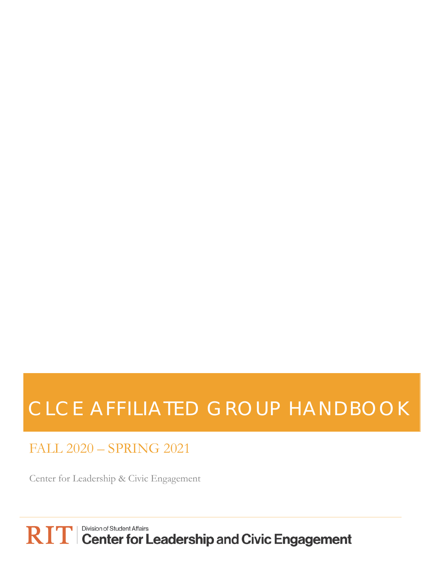# CLCE AFFILIATED GROUP HANDBOOK

FALL 2020 – SPRING 2021

Center for Leadership & Civic Engagement

 $\mathbf{RIT}$   $\mathbf{TT}$   $\mathbf{C}$  enter for Leadership and Civic Engagement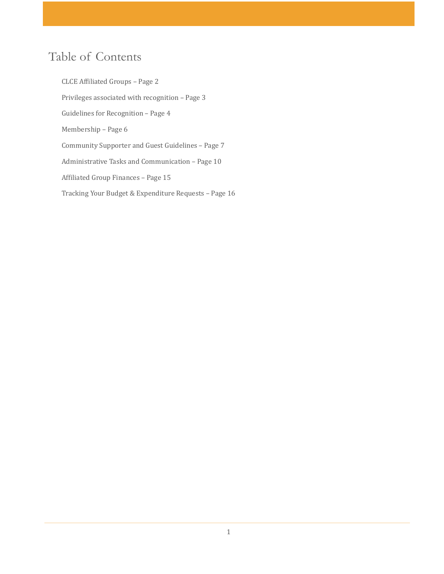## Table of Contents

CLCE Affiliated Groups – Page 2 Privileges associated with recognition – Page 3 Guidelines for Recognition – Page 4 Membership – Page 6 Community Supporter and Guest Guidelines – Page 7 Administrative Tasks and Communication – Page 10 Affiliated Group Finances – Page 15 Tracking Your Budget & Expenditure Requests – Page 16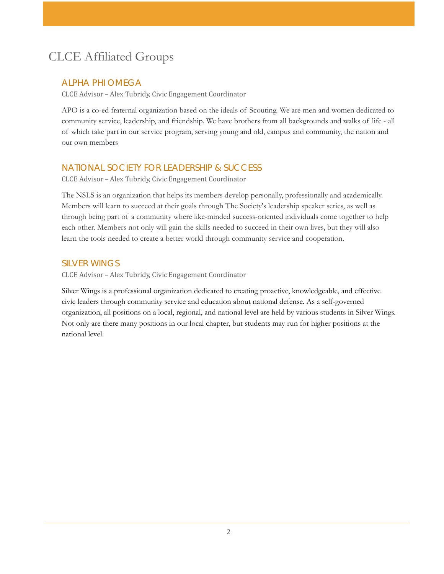# CLCE Affiliated Groups

#### ALPHA PHI OMEGA

CLCE Advisor – Alex Tubridy, Civic Engagement Coordinator

APO is a co-ed fraternal organization based on the ideals of Scouting. We are men and women dedicated to community service, leadership, and friendship. We have brothers from all backgrounds and walks of life - all of which take part in our service program, serving young and old, campus and community, the nation and our own members

#### NATIONAL SOCIETY FOR LEADERSHIP & SUCCESS

CLCE Advisor – Alex Tubridy, Civic Engagement Coordinator

The NSLS is an organization that helps its members develop personally, professionally and academically. Members will learn to succeed at their goals through The Society's leadership speaker series, as well as through being part of a community where like-minded success-oriented individuals come together to help each other. Members not only will gain the skills needed to succeed in their own lives, but they will also learn the tools needed to create a better world through community service and cooperation.

#### SILVER WINGS

CLCE Advisor – Alex Tubridy, Civic Engagement Coordinator

Silver Wings is a professional organization dedicated to creating proactive, knowledgeable, and effective civic leaders through community service and education about national defense. As a self-governed organization, all positions on a local, regional, and national level are held by various students in Silver Wings. Not only are there many positions in our local chapter, but students may run for higher positions at the national level.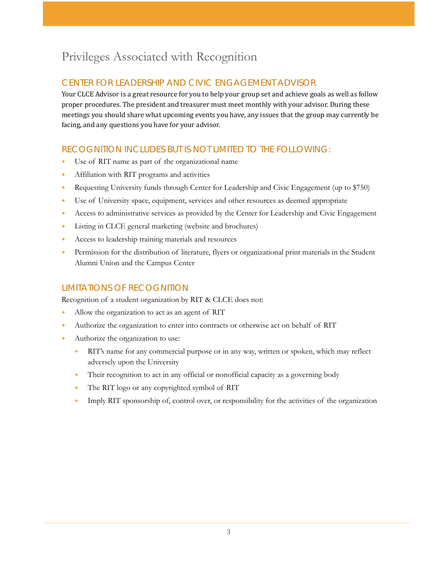# Privileges Associated with Recognition

### CENTER FOR LEADERSHIP AND CIVIC ENGAGEMENT ADVISOR

Your CLCE Advisor is a great resource for you to help your group set and achieve goals as well as follow proper procedures. The president and treasurer must meet monthly with your advisor. During these meetings you should share what upcoming events you have, any issues that the group may currently be facing, and any questions you have for your advisor.

### RECOGNITION INCLUDES BUT IS NOT LIMITED TO THE FOLLOWING:

- Use of RIT name as part of the organizational name
- Affiliation with RIT programs and activities
- Requesting University funds through Center for Leadership and Civic Engagement (up to \$750)
- Use of University space, equipment, services and other resources as deemed appropriate
- Access to administrative services as provided by the Center for Leadership and Civic Engagement
- Listing in CLCE general marketing (website and brochures)
- Access to leadership training materials and resources
- Permission for the distribution of literature, flyers or organizational print materials in the Student Alumni Union and the Campus Center

#### LIMITATIONS OF RECOGNITION

Recognition of a student organization by RIT & CLCE does not:

- Allow the organization to act as an agent of RIT
- Authorize the organization to enter into contracts or otherwise act on behalf of RIT
- Authorize the organization to use:
	- RIT's name for any commercial purpose or in any way, written or spoken, which may reflect adversely upon the University
	- Their recognition to act in any official or nonofficial capacity as a governing body
	- The RIT logo or any copyrighted symbol of RIT
	- Imply RIT sponsorship of, control over, or responsibility for the activities of the organization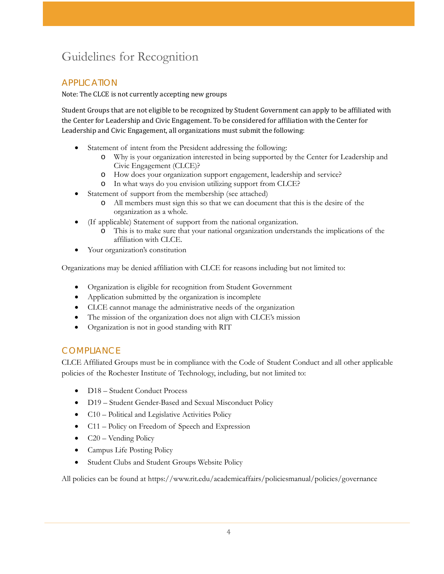# Guidelines for Recognition

### APPLICATION

Note: The CLCE is not currently accepting new groups

Student Groups that are not eligible to be recognized by Student Government can apply to be affiliated with the Center for Leadership and Civic Engagement. To be considered for affiliation with the Center for Leadership and Civic Engagement, all organizations must submit the following:

- Statement of intent from the President addressing the following:
	- o Why is your organization interested in being supported by the Center for Leadership and Civic Engagement (CLCE)?
	- o How does your organization support engagement, leadership and service?
	- o In what ways do you envision utilizing support from CLCE?
- Statement of support from the membership (see attached)
	- o All members must sign this so that we can document that this is the desire of the organization as a whole.
- (If applicable) Statement of support from the national organization.
	- o This is to make sure that your national organization understands the implications of the affiliation with CLCE.
- Your organization's constitution

Organizations may be denied affiliation with CLCE for reasons including but not limited to:

- Organization is eligible for recognition from Student Government
- Application submitted by the organization is incomplete
- CLCE cannot manage the administrative needs of the organization
- The mission of the organization does not align with CLCE's mission
- Organization is not in good standing with RIT

#### **COMPLIANCE**

CLCE Affiliated Groups must be in compliance with the Code of Student Conduct and all other applicable policies of the Rochester Institute of Technology, including, but not limited to:

- D18 Student Conduct Process
- D19 Student Gender-Based and Sexual Misconduct Policy
- C10 Political and Legislative Activities Policy
- C11 Policy on Freedom of Speech and Expression
- $\bullet$  C20 Vending Policy
- Campus Life Posting Policy
- Student Clubs and Student Groups Website Policy

All policies can be found at https://www.rit.edu/academicaffairs/policiesmanual/policies/governance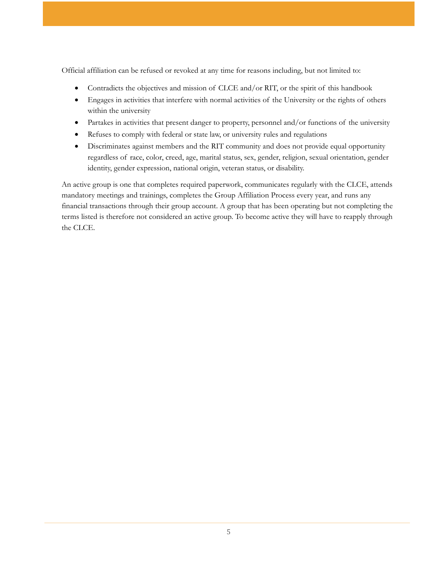Official affiliation can be refused or revoked at any time for reasons including, but not limited to:

- Contradicts the objectives and mission of CLCE and/or RIT, or the spirit of this handbook
- Engages in activities that interfere with normal activities of the University or the rights of others within the university
- Partakes in activities that present danger to property, personnel and/or functions of the university
- Refuses to comply with federal or state law, or university rules and regulations
- Discriminates against members and the RIT community and does not provide equal opportunity regardless of race, color, creed, age, marital status, sex, gender, religion, sexual orientation, gender identity, gender expression, national origin, veteran status, or disability.

An active group is one that completes required paperwork, communicates regularly with the CLCE, attends mandatory meetings and trainings, completes the Group Affiliation Process every year, and runs any financial transactions through their group account. A group that has been operating but not completing the terms listed is therefore not considered an active group. To become active they will have to reapply through the CLCE.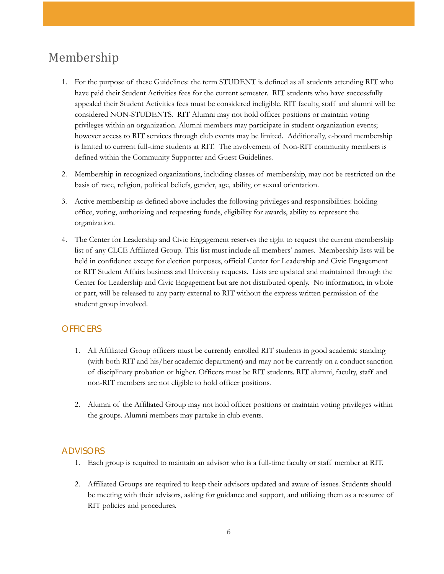# Membership

- 1. For the purpose of these Guidelines: the term STUDENT is defined as all students attending RIT who have paid their Student Activities fees for the current semester. RIT students who have successfully appealed their Student Activities fees must be considered ineligible. RIT faculty, staff and alumni will be considered NON-STUDENTS. RIT Alumni may not hold officer positions or maintain voting privileges within an organization. Alumni members may participate in student organization events; however access to RIT services through club events may be limited. Additionally, e-board membership is limited to current full-time students at RIT. The involvement of Non-RIT community members is defined within the Community Supporter and Guest Guidelines.
- 2. Membership in recognized organizations, including classes of membership, may not be restricted on the basis of race, religion, political beliefs, gender, age, ability, or sexual orientation.
- 3. Active membership as defined above includes the following privileges and responsibilities: holding office, voting, authorizing and requesting funds, eligibility for awards, ability to represent the organization.
- 4. The Center for Leadership and Civic Engagement reserves the right to request the current membership list of any CLCE Affiliated Group. This list must include all members' names. Membership lists will be held in confidence except for election purposes, official Center for Leadership and Civic Engagement or RIT Student Affairs business and University requests. Lists are updated and maintained through the Center for Leadership and Civic Engagement but are not distributed openly. No information, in whole or part, will be released to any party external to RIT without the express written permission of the student group involved.

### **OFFICERS**

- 1. All Affiliated Group officers must be currently enrolled RIT students in good academic standing (with both RIT and his/her academic department) and may not be currently on a conduct sanction of disciplinary probation or higher. Officers must be RIT students. RIT alumni, faculty, staff and non-RIT members are not eligible to hold officer positions.
- 2. Alumni of the Affiliated Group may not hold officer positions or maintain voting privileges within the groups. Alumni members may partake in club events.

#### ADVISORS

- 1. Each group is required to maintain an advisor who is a full-time faculty or staff member at RIT.
- 2. Affiliated Groups are required to keep their advisors updated and aware of issues. Students should be meeting with their advisors, asking for guidance and support, and utilizing them as a resource of RIT policies and procedures.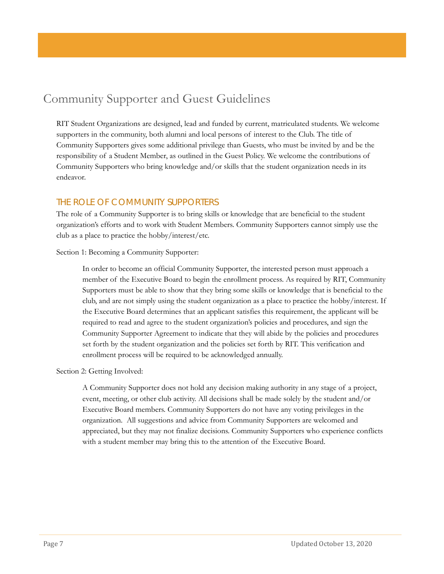## Community Supporter and Guest Guidelines

RIT Student Organizations are designed, lead and funded by current, matriculated students. We welcome supporters in the community, both alumni and local persons of interest to the Club. The title of Community Supporters gives some additional privilege than Guests, who must be invited by and be the responsibility of a Student Member, as outlined in the Guest Policy. We welcome the contributions of Community Supporters who bring knowledge and/or skills that the student organization needs in its endeavor.

#### THE ROLE OF COMMUNITY SUPPORTERS

The role of a Community Supporter is to bring skills or knowledge that are beneficial to the student organization's efforts and to work with Student Members. Community Supporters cannot simply use the club as a place to practice the hobby/interest/etc.

Section 1: Becoming a Community Supporter:

In order to become an official Community Supporter, the interested person must approach a member of the Executive Board to begin the enrollment process. As required by RIT, Community Supporters must be able to show that they bring some skills or knowledge that is beneficial to the club, and are not simply using the student organization as a place to practice the hobby/interest. If the Executive Board determines that an applicant satisfies this requirement, the applicant will be required to read and agree to the student organization's policies and procedures, and sign the Community Supporter Agreement to indicate that they will abide by the policies and procedures set forth by the student organization and the policies set forth by RIT. This verification and enrollment process will be required to be acknowledged annually.

Section 2: Getting Involved:

A Community Supporter does not hold any decision making authority in any stage of a project, event, meeting, or other club activity. All decisions shall be made solely by the student and/or Executive Board members. Community Supporters do not have any voting privileges in the organization. All suggestions and advice from Community Supporters are welcomed and appreciated, but they may not finalize decisions. Community Supporters who experience conflicts with a student member may bring this to the attention of the Executive Board.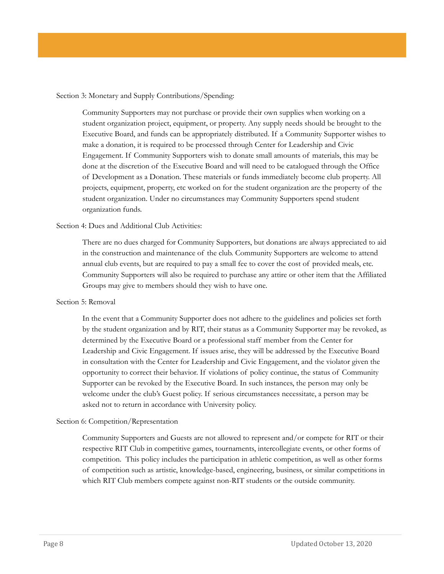#### Section 3: Monetary and Supply Contributions/Spending:

Community Supporters may not purchase or provide their own supplies when working on a student organization project, equipment, or property. Any supply needs should be brought to the Executive Board, and funds can be appropriately distributed. If a Community Supporter wishes to make a donation, it is required to be processed through Center for Leadership and Civic Engagement. If Community Supporters wish to donate small amounts of materials, this may be done at the discretion of the Executive Board and will need to be catalogued through the Office of Development as a Donation. These materials or funds immediately become club property. All projects, equipment, property, etc worked on for the student organization are the property of the student organization. Under no circumstances may Community Supporters spend student organization funds.

#### Section 4: Dues and Additional Club Activities:

There are no dues charged for Community Supporters, but donations are always appreciated to aid in the construction and maintenance of the club. Community Supporters are welcome to attend annual club events, but are required to pay a small fee to cover the cost of provided meals, etc. Community Supporters will also be required to purchase any attire or other item that the Affiliated Groups may give to members should they wish to have one.

#### Section 5: Removal

In the event that a Community Supporter does not adhere to the guidelines and policies set forth by the student organization and by RIT, their status as a Community Supporter may be revoked, as determined by the Executive Board or a professional staff member from the Center for Leadership and Civic Engagement. If issues arise, they will be addressed by the Executive Board in consultation with the Center for Leadership and Civic Engagement, and the violator given the opportunity to correct their behavior. If violations of policy continue, the status of Community Supporter can be revoked by the Executive Board. In such instances, the person may only be welcome under the club's Guest policy. If serious circumstances necessitate, a person may be asked not to return in accordance with University policy.

#### Section 6: Competition/Representation

Community Supporters and Guests are not allowed to represent and/or compete for RIT or their respective RIT Club in competitive games, tournaments, intercollegiate events, or other forms of competition. This policy includes the participation in athletic competition, as well as other forms of competition such as artistic, knowledge-based, engineering, business, or similar competitions in which RIT Club members compete against non-RIT students or the outside community.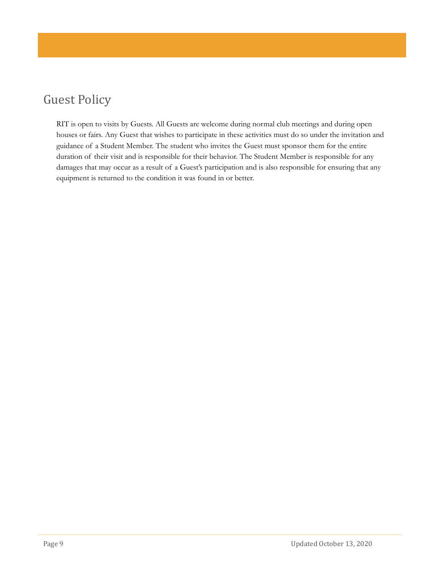# Guest Policy

RIT is open to visits by Guests. All Guests are welcome during normal club meetings and during open houses or fairs. Any Guest that wishes to participate in these activities must do so under the invitation and guidance of a Student Member. The student who invites the Guest must sponsor them for the entire duration of their visit and is responsible for their behavior. The Student Member is responsible for any damages that may occur as a result of a Guest's participation and is also responsible for ensuring that any equipment is returned to the condition it was found in or better.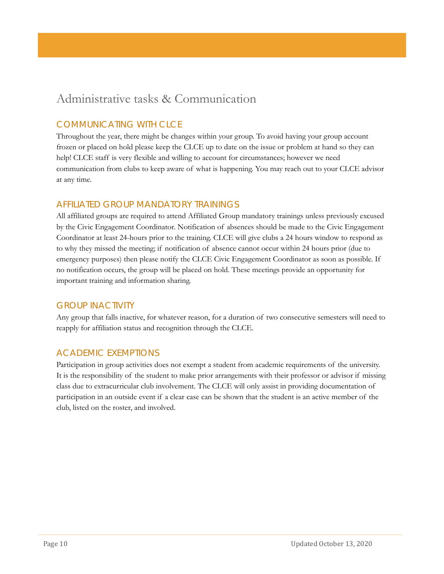### Administrative tasks & Communication

### COMMUNICATING WITH CLCE

Throughout the year, there might be changes within your group. To avoid having your group account frozen or placed on hold please keep the CLCE up to date on the issue or problem at hand so they can help! CLCE staff is very flexible and willing to account for circumstances; however we need communication from clubs to keep aware of what is happening. You may reach out to your CLCE advisor at any time.

### AFFILIATED GROUP MANDATORY TRAININGS

All affiliated groups are required to attend Affiliated Group mandatory trainings unless previously excused by the Civic Engagement Coordinator. Notification of absences should be made to the Civic Engagement Coordinator at least 24-hours prior to the training. CLCE will give clubs a 24 hours window to respond as to why they missed the meeting; if notification of absence cannot occur within 24 hours prior (due to emergency purposes) then please notify the CLCE Civic Engagement Coordinator as soon as possible. If no notification occurs, the group will be placed on hold. These meetings provide an opportunity for important training and information sharing.

#### GROUP INACTIVITY

Any group that falls inactive, for whatever reason, for a duration of two consecutive semesters will need to reapply for affiliation status and recognition through the CLCE.

### ACADEMIC EXEMPTIONS

Participation in group activities does not exempt a student from academic requirements of the university. It is the responsibility of the student to make prior arrangements with their professor or advisor if missing class due to extracurricular club involvement. The CLCE will only assist in providing documentation of participation in an outside event if a clear case can be shown that the student is an active member of the club, listed on the roster, and involved.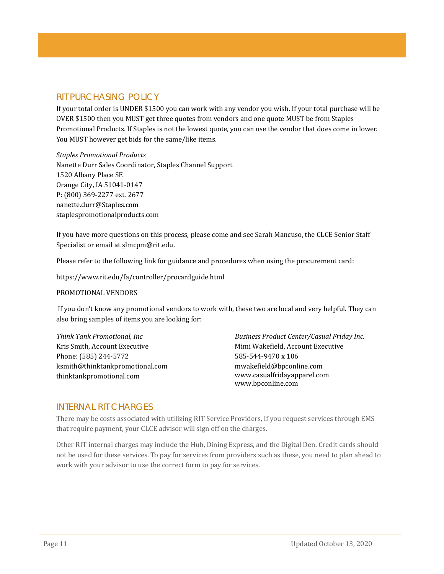### RIT PURCHASING POLICY

If your total order is UNDER \$1500 you can work with any vendor you wish. If your total purchase will be OVER \$1500 then you MUST get three quotes from vendors and one quote MUST be from Staples Promotional Products. If Staples is not the lowest quote, you can use the vendor that does come in lower. You MUST however get bids for the same/like items.

*Staples Promotional Products*  Nanette Durr Sales Coordinator, Staples Channel Support 1520 Albany Place SE Orange City, IA 51041-0147 P: (800) 369-2277 ext. 2677 [nanette.durr@Staples.com](mailto:nanette.durr@Staples.com) staplespromotionalproducts.com

If you have more questions on this process, please come and see Sarah Mancuso, the CLCE Senior Staff Specialist or email a[t sl](mailto:bmtccl@rit.edu)mcpm@rit.edu.

Please refer to the following link for guidance and procedures when using the procurement card:

https://www.rit.edu/fa/controller/procardguide.html

#### PROMOTIONAL VENDORS

If you don't know any promotional vendors to work with, these two are local and very helpful. They can also bring samples of items you are looking for:

*Think Tank Promotional, Inc*  Kris Smith, Account Executive Phone: (585) 244-5772 [ksmith@thinktankpromotional.com](mailto:ksmith@thinktankpromotional.com) thinktankpromotional.com

*Business Product Center/Casual Friday Inc.* Mimi Wakefield, Account Executive 585-544-9470 x 106 mwakefield@bpconline.com [www.casualfridayapparel.com](http://www.casualfridayapparel.com/) [www.bpconline.com](http://www.bpconline.com/)

#### INTERNAL RIT CHARGES

There may be costs associated with utilizing RIT Service Providers, If you request services through EMS that require payment, your CLCE advisor will sign off on the charges.

Other RIT internal charges may include the Hub, Dining Express, and the Digital Den. Credit cards should not be used for these services. To pay for services from providers such as these, you need to plan ahead to work with your advisor to use the correct form to pay for services.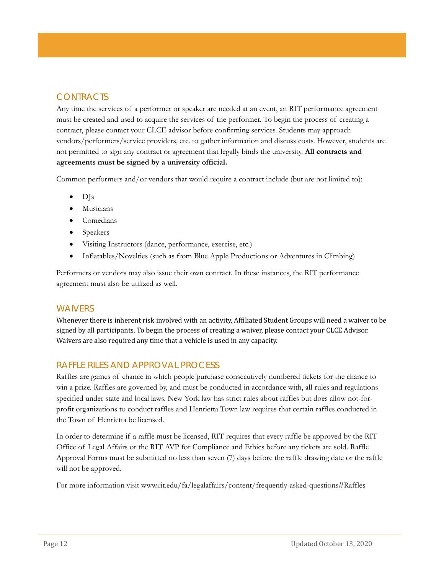### **CONTRACTS**

Any time the services of a performer or speaker are needed at an event, an RIT performance agreement must be created and used to acquire the services of the performer. To begin the process of creating a contract, please contact your CLCE advisor before confirming services. Students may approach vendors/performers/service providers, etc. to gather information and discuss costs. However, students are not permitted to sign any contract or agreement that legally binds the university. **All contracts and agreements must be signed by a university official.**

Common performers and/or vendors that would require a contract include (but are not limited to):

- DJs
- **Musicians**
- **Comedians**
- Speakers
- Visiting Instructors (dance, performance, exercise, etc.)
- Inflatables/Novelties (such as from Blue Apple Productions or Adventures in Climbing)

Performers or vendors may also issue their own contract. In these instances, the RIT performance agreement must also be utilized as well.

#### **WAIVERS**

Whenever there is inherent risk involved with an activity, Affiliated Student Groups will need a waiver to be signed by all participants. To begin the process of creating a waiver, please contact your CLCE Advisor. Waivers are also required any time that a vehicle is used in any capacity.

#### RAFFLE RILES AND APPROVAL PROCESS

Raffles are games of chance in which people purchase consecutively numbered tickets for the chance to win a prize. Raffles are governed by, and must be conducted in accordance with, all rules and regulations specified under state and local laws. New York law has strict rules about raffles but does allow not-forprofit organizations to conduct raffles and Henrietta Town law requires that certain raffles conducted in the Town of Henrietta be licensed.

In order to determine if a raffle must be licensed, RIT requires that every raffle be approved by the RIT Office of Legal Affairs or the RIT AVP for Compliance and Ethics before any tickets are sold. Raffle Approval Forms must be submitted no less than seven (7) days before the raffle drawing date or the raffle will not be approved.

For more information visit www.rit.edu/fa/legalaffairs/content/frequently-asked-questions#Raffles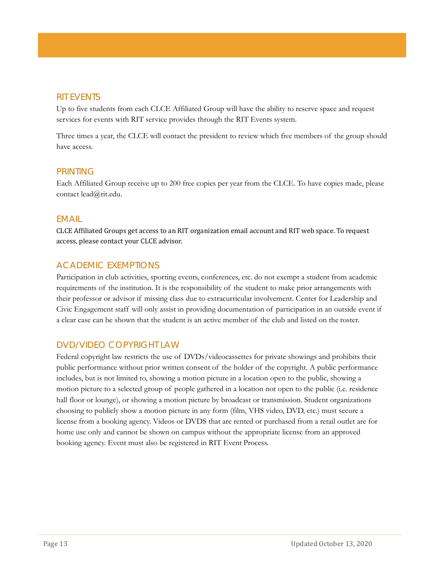#### RIT EVENTS

Up to five students from each CLCE Affiliated Group will have the ability to reserve space and request services for events with RIT service provides through the RIT Events system.

Three times a year, the CLCE will contact the president to review which five members of the group should have access.

#### PRINTING

Each Affiliated Group receive up to 200 free copies per year from the CLCE. To have copies made, please contact lead@rit.edu.

#### EMAIL

CLCE Affiliated Groups get access to an RIT organization email account and RIT web space. To request access, please contact your CLCE advisor.

#### ACADEMIC EXEMPTIONS

Participation in club activities, sporting events, conferences, etc. do not exempt a student from academic requirements of the institution. It is the responsibility of the student to make prior arrangements with their professor or advisor if missing class due to extracurricular involvement. Center for Leadership and Civic Engagement staff will only assist in providing documentation of participation in an outside event if a clear case can be shown that the student is an active member of the club and listed on the roster.

#### DVD/VIDEO COPYRIGHT LAW

Federal copyright law restricts the use of DVDs/videocassettes for private showings and prohibits their public performance without prior written consent of the holder of the copyright. A public performance includes, but is not limited to, showing a motion picture in a location open to the public, showing a motion picture to a selected group of people gathered in a location not open to the public (i.e. residence hall floor or lounge), or showing a motion picture by broadcast or transmission. Student organizations choosing to publicly show a motion picture in any form (film, VHS video, DVD, etc.) must secure a license from a booking agency. Videos or DVDS that are rented or purchased from a retail outlet are for home use only and cannot be shown on campus without the appropriate license from an approved booking agency. Event must also be registered in RIT Event Process.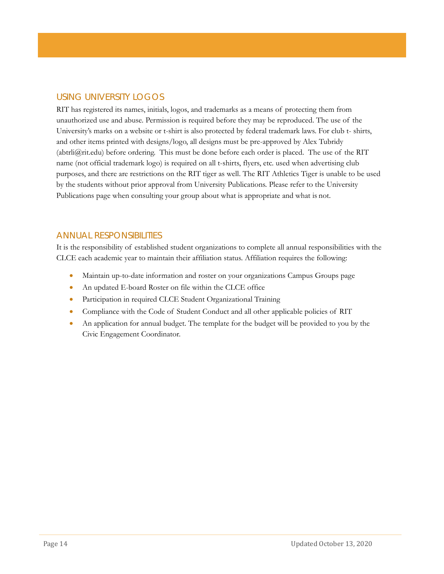### USING UNIVERSITY LOGOS

RIT has registered its names, initials, logos, and trademarks as a means of protecting them from unauthorized use and abuse. Permission is required before they may be reproduced. The use of the University's marks on a website or t-shirt is also protected by federal trademark laws. For club t- shirts, and other items printed with designs/logo, all designs must be pre-approved by Alex Tubridy  $(ab<sub>tr</sub>li $(a<sub>tr</sub>li<sub>tr</sub>li<sub>tr</sub>li<sub>tr</sub>)$  before ordering. This must be done before each order is placed. The use of the RIT$ name (not official trademark logo) is required on all t-shirts, flyers, etc. used when advertising club purposes, and there are restrictions on the RIT tiger as well. The RIT Athletics Tiger is unable to be used by the students without prior approval from University Publications. Please refer to the University Publications page when consulting your group about what is appropriate and what is not.

#### ANNUAL RESPONSIBILITIES

It is the responsibility of established student organizations to complete all annual responsibilities with the CLCE each academic year to maintain their affiliation status. Affiliation requires the following:

- Maintain up-to-date information and roster on your organizations Campus Groups page
- An updated E-board Roster on file within the CLCE office
- Participation in required CLCE Student Organizational Training
- Compliance with the Code of Student Conduct and all other applicable policies of RIT
- An application for annual budget. The template for the budget will be provided to you by the Civic Engagement Coordinator.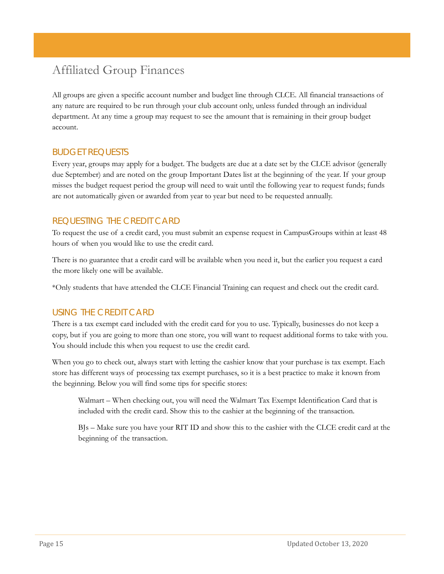# Affiliated Group Finances

All groups are given a specific account number and budget line through CLCE. All financial transactions of any nature are required to be run through your club account only, unless funded through an individual department. At any time a group may request to see the amount that is remaining in their group budget account.

#### BUDGET REQUESTS

Every year, groups may apply for a budget. The budgets are due at a date set by the CLCE advisor (generally due September) and are noted on the group Important Dates list at the beginning of the year. If your group misses the budget request period the group will need to wait until the following year to request funds; funds are not automatically given or awarded from year to year but need to be requested annually.

### REQUESTING THE CREDIT CARD

To request the use of a credit card, you must submit an expense request in CampusGroups within at least 48 hours of when you would like to use the credit card.

There is no guarantee that a credit card will be available when you need it, but the earlier you request a card the more likely one will be available.

\*Only students that have attended the CLCE Financial Training can request and check out the credit card.

#### USING THE CREDIT CARD

There is a tax exempt card included with the credit card for you to use. Typically, businesses do not keep a copy, but if you are going to more than one store, you will want to request additional forms to take with you. You should include this when you request to use the credit card.

When you go to check out, always start with letting the cashier know that your purchase is tax exempt. Each store has different ways of processing tax exempt purchases, so it is a best practice to make it known from the beginning. Below you will find some tips for specific stores:

Walmart – When checking out, you will need the Walmart Tax Exempt Identification Card that is included with the credit card. Show this to the cashier at the beginning of the transaction.

BJs – Make sure you have your RIT ID and show this to the cashier with the CLCE credit card at the beginning of the transaction.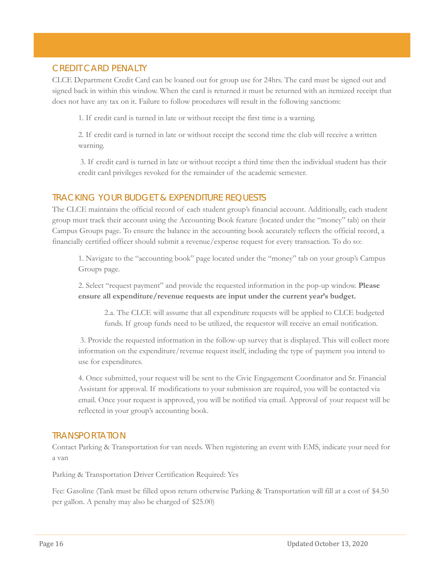#### CREDIT CARD PENALTY

CLCE Department Credit Card can be loaned out for group use for 24hrs. The card must be signed out and signed back in within this window. When the card is returned it must be returned with an itemized receipt that does not have any tax on it. Failure to follow procedures will result in the following sanctions:

1. If credit card is turned in late or without receipt the first time is a warning.

2. If credit card is turned in late or without receipt the second time the club will receive a written warning.

3. If credit card is turned in late or without receipt a third time then the individual student has their credit card privileges revoked for the remainder of the academic semester.

#### TRACKING YOUR BUDGET & EXPENDITURE REQUESTS

The CLCE maintains the official record of each student group's financial account. Additionally, each student group must track their account using the Accounting Book feature (located under the "money" tab) on their Campus Groups page. To ensure the balance in the accounting book accurately reflects the official record, a financially certified officer should submit a revenue/expense request for every transaction. To do so:

1. Navigate to the "accounting book" page located under the "money" tab on your group's Campus Groups page.

2. Select "request payment" and provide the requested information in the pop-up window. **Please ensure all expenditure/revenue requests are input under the current year's budget.**

2.a. The CLCE will assume that all expenditure requests will be applied to CLCE budgeted funds. If group funds need to be utilized, the requestor will receive an email notification.

3. Provide the requested information in the follow-up survey that is displayed. This will collect more information on the expenditure/revenue request itself, including the type of payment you intend to use for expenditures.

4. Once submitted, your request will be sent to the Civic Engagement Coordinator and Sr. Financial Assistant for approval. If modifications to your submission are required, you will be contacted via email. Once your request is approved, you will be notified via email. Approval of your request will be reflected in your group's accounting book.

#### TRANSPORTATION

Contact Parking & Transportation for van needs. When registering an event with EMS, indicate your need for a van

Parking & Transportation Driver Certification Required: Yes

Fee: Gasoline (Tank must be filled upon return otherwise Parking & Transportation will fill at a cost of \$4.50 per gallon. A penalty may also be charged of \$25.00)